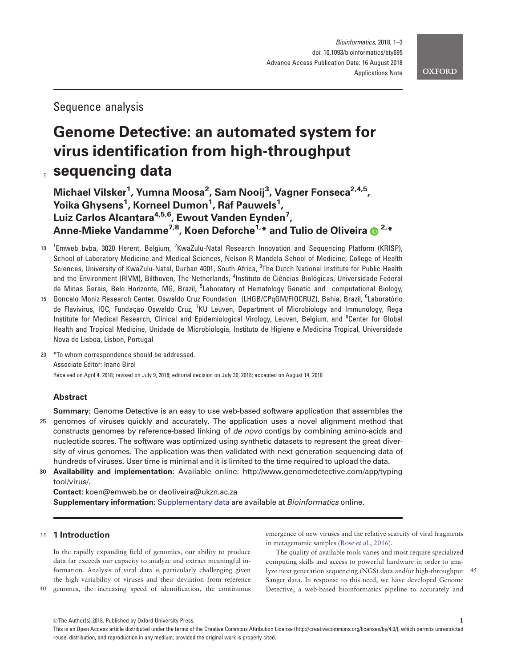# Sequence analysis

# Genome Detective: an automated system for virus identification from high-throughput sequencing data

Michael Vilsker<sup>1</sup>, Yumna Moosa<sup>2</sup>, Sam Nooij<sup>3</sup>, Vagner Fonseca<sup>2,4,5</sup>, Yoika Ghysens<sup>1</sup>, Korneel Dumon<sup>1</sup>, Raf Pauwels<sup>1</sup>, Luiz Carlos Alcantara<sup>4,5,6</sup>, Ewout Vanden Eynden<sup>7</sup>, Anne-Mieke Vandamme<sup>7,8</sup>, Koen Deforche<sup>1,\*</sup> and Tulio de Oliveira  $\oplus$ <sup>2,\*</sup>

- <sup>1</sup> Emweb bvba, 3020 Herent, Belgium, <sup>2</sup> KwaZulu-Natal Research Innovation and Sequencing Platform (KRISP), School of Laboratory Medicine and Medical Sciences, Nelson R Mandela School of Medicine, College of Health Sciences, University of KwaZulu-Natal, Durban 4001, South Africa, <sup>3</sup>The Dutch National Institute for Public Health and the Environment (RIVM), Bilthoven, The Netherlands, <sup>4</sup>Instituto de Ciências Biológicas, Universidade Federal de Minas Gerais, Belo Horizonte, MG, Brazil, <sup>5</sup>Laboratory of Hematology Genetic and computational Biology,
- <sup>15</sup> Goncalo Moniz Research Center, Oswaldo Cruz Foundation (LHGB/CPqGM/FIOCRUZ), Bahia, Brazil, <sup>6</sup>Laboratório de Flavivírus, IOC, Fundação Oswaldo Cruz, <sup>7</sup>KU Leuven, Department of Microbiology and Immunology, Rega Institute for Medical Research, Clinical and Epidemiological Virology, Leuven, Belgium, and <sup>8</sup>Center for Global Health and Tropical Medicine, Unidade de Microbiologia, Instituto de Higiene e Medicina Tropical, Universidade Nova de Lisboa, Lisbon, Portugal

20 \*To whom correspondence should be addressed. Associate Editor: Inanc Birol Received on April 4, 2018; revised on July 9, 2018; editorial decision on July 30, 2018; accepted on August 14, 2018

# Abstract

**Summary:** Genome Detective is an easy to use web-based software application that assembles the 25 genomes of viruses quickly and accurately. The application uses a novel alignment method that constructs genomes by reference-based linking of de novo contigs by combining amino-acids and nucleotide scores. The software was optimized using synthetic datasets to represent the great diversity of virus genomes. The application was then validated with next generation sequencing data of hundreds of viruses. User time is minimal and it is limited to the time required to upload the data.

30 Availability and implementation: Available online: [http://www.genomedetective.com/app/typing](http://www.genomedetective.com/app/typingtool/virus/) [tool/virus/.](http://www.genomedetective.com/app/typingtool/virus/)

Contact: koen@emweb.be or deoliveira@ukzn.ac.za Supplementary information: [Supplementary data](https://academic.oup.com/bioinformatics/article-lookup/doi/10.1093/bioinformatics/bty695#supplementary-data) are available at Bioinformatics online.

## <sup>35</sup> 1 Introduction

In the rapidly expanding field of genomics, our ability to produce data far exceeds our capacity to analyze and extract meaningful information. Analysis of viral data is particularly challenging given the high variability of viruses and their deviation from reference 40 genomes, the increasing speed of identification, the continuous emergence of new viruses and the relative scarcity of viral fragments in metagenomic samples (Rose et al.[, 2016](#page-2-0)).

The quality of available tools varies and most require specialized computing skills and access to powerful hardware in order to analyze next generation sequencing (NGS) data and/or high-throughput 45 Sanger data. In response to this need, we have developed Genome Detective, a web-based bioinformatics pipeline to accurately and

<sup>©</sup> The Author(s) 2018. Published by Oxford University Press.

This is an Open Access article distributed under the terms of the Creative Commons Attribution License (http://creativecommons.org/licenses/by/4.0/), which permits unrestricted reuse, distribution, and reproduction in any medium, provided the original work is properly cited.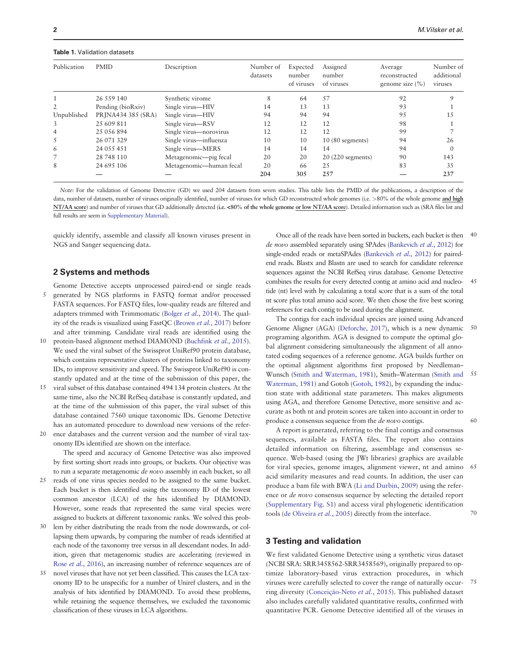#### <span id="page-1-0"></span>Table 1. Validation datasets

| Publication    | <b>PMID</b>        | Description             | Number of<br>datasets | Expected<br>number<br>of viruses | Assigned<br>number<br>of viruses | Average<br>reconstructed<br>genome size $(\% )$ | Number of<br>additional<br>viruses |
|----------------|--------------------|-------------------------|-----------------------|----------------------------------|----------------------------------|-------------------------------------------------|------------------------------------|
|                | 26 559 140         | Synthetic virome        | 8                     | 64                               | 57                               | 92                                              | Q                                  |
| $\overline{2}$ | Pending (bioRxiv)  | Single virus-HIV        | 14                    | 13                               | 13                               | 93                                              |                                    |
| Unpublished    | PRINA434 385 (SRA) | Single virus-HIV        | 94                    | 94                               | 94                               | 95                                              | 15                                 |
| 3              | 2.5 609 811        | Single virus-RSV        | 12                    | 12                               | 12                               | 98                                              |                                    |
| 4              | 25 056 894         | Single virus—norovirus  | 12                    | 12                               | 12                               | 99                                              |                                    |
| 5              | 26 071 329         | Single virus—influenza  | 10                    | 10                               | $10(80$ segments)                | 94                                              | 26                                 |
| 6              | 24 055 451         | Single virus-MERS       | 14                    | 14                               | 14                               | 94                                              | $\theta$                           |
| 7              | 28 748 110         | Metagenomic-pig fecal   | 20                    | 20                               | $20(220$ segments)               | 90                                              | 143                                |
| 8              | 24 695 106         | Metagenomic—human fecal | 20                    | 66                               | 25                               | 83                                              | 35                                 |
|                |                    |                         | 204                   | 305                              | 257                              |                                                 | 237                                |

Note: For the validation of Genome Detective (GD) we used 204 datasets from seven studies. This table lists the PMID of the publications, a description of the data, number of datasets, number of viruses originally identified, number of viruses for which GD reconstructed whole genomes (i.e. >80% of the whole genome and high NT/AA score) and number of viruses that GD additionally detected (i.e. <80% of the whole genome or low NT/AA score). Detailed information such as (SRA files list and full results are seem in [Supplementary Material](https://academic.oup.com/bioinformatics/article-lookup/doi/10.1093/bioinformatics/bty695#supplementary-data)).

quickly identify, assemble and classify all known viruses present in NGS and Sanger sequencing data.

#### 2 Systems and methods

- Genome Detective accepts unprocessed paired-end or single reads 5 generated by NGS platforms in FASTQ format and/or processed FASTA sequences. For FASTQ files, low-quality reads are filtered and adapters trimmed with Trimmomatic [\(Bolger](#page-2-0) et al., 2014). The quality of the reads is visualized using FastQC [\(Brown](#page-2-0) et al., 2017) before and after trimming. Candidate viral reads are identified using the
- protein-based alignment method DIAMOND [\(Buchfink](#page-2-0) et al., 2015). We used the viral subset of the Swissprot UniRef90 protein database, which contains representative clusters of proteins linked to taxonomy IDs, to improve sensitivity and speed. The Swissprot UniRef90 is constantly updated and at the time of the submission of this paper, the
- 15 viral subset of this database contained 494 134 protein clusters. At the same time, also the NCBI RefSeq database is constantly updated, and at the time of the submission of this paper, the viral subset of this database contained 7560 unique taxonomic IDs. Genome Detective has an automated procedure to download new versions of the refer-
- 20 ence databases and the current version and the number of viral taxonomy IDs identified are shown on the interface.

The speed and accuracy of Genome Detective was also improved by first sorting short reads into groups, or buckets. Our objective was to run a separate metagenomic de novo assembly in each bucket, so all

- 25 reads of one virus species needed to be assigned to the same bucket. Each bucket is then identified using the taxonomy ID of the lowest common ancestor (LCA) of the hits identified by DIAMOND. However, some reads that represented the same viral species were assigned to buckets at different taxonomic ranks. We solved this prob-
- 30 lem by either distributing the reads from the node downwards, or collapsing them upwards, by comparing the number of reads identified at each node of the taxonomy tree versus in all descendant nodes. In addition, given that metagenomic studies are accelerating (reviewed in Rose et al.[, 2016\)](#page-2-0), an increasing number of reference sequences are of
- novel viruses that have not yet been classified. This causes the LCA taxonomy ID to be unspecific for a number of Uniref clusters, and in the analysis of hits identified by DIAMOND. To avoid these problems, while retaining the sequence themselves, we excluded the taxonomic classification of these viruses in LCA algorithms.

Once all of the reads have been sorted in buckets, each bucket is then 40 de novo assembled separately using SPAdes ([Bankevich](#page-2-0) et al., 2012) for single-ended reads or metaSPAdes [\(Bankevich](#page-2-0) et al., 2012) for pairedend reads. Blastx and Blastn are used to search for candidate reference sequences against the NCBI RefSeq virus database. Genome Detective combines the results for every detected contig at amino acid and nucleo- 45 tide (nt) level with by calculating a total score that is a sum of the total nt score plus total amino acid score. We then chose the five best scoring references for each contig to be used during the alignment.

The contigs for each individual species are joined using Advanced Genome Aligner (AGA) ([Deforche, 2017](#page-2-0)), which is a new dynamic 50 programing algorithm. AGA is designed to compute the optimal global alignment considering simultaneously the alignment of all annotated coding sequences of a reference genome. AGA builds further on the optimal alignment algorithms first proposed by Needleman– Wunsch ([Smith and Waterman, 1981\)](#page-2-0), Smith–Waterman [\(Smith and](#page-2-0) 55 [Waterman, 1981](#page-2-0)) and Gotoh [\(Gotoh, 1982](#page-2-0)), by expanding the induction state with additional state parameters. This makes alignments using AGA, and therefore Genome Detective, more sensitive and accurate as both nt and protein scores are taken into account in order to produce a consensus sequence from the *de novo* contigs. 60

A report is generated, referring to the final contigs and consensus sequences, available as FASTA files. The report also contains detailed information on filtering, assemblage and consensus sequence. Web-based (using the JWt libraries) graphics are available for viral species, genome images, alignment viewer, nt and amino 65 acid similarity measures and read counts. In addition, the user can produce a bam file with BWA [\(Li and Durbin, 2009\)](#page-2-0) using the reference or de novo consensus sequence by selecting the detailed report ([Supplementary Fig. S1](https://academic.oup.com/bioinformatics/article-lookup/doi/10.1093/bioinformatics/bty695#supplementary-data)) and access viral phylogenetic identification tools ([de Oliveira](#page-2-0) *et al.*, 2005) directly from the interface.  $70$ 

### 3 Testing and validation

We first validated Genome Detective using a synthetic virus dataset (NCBI SRA: SRR3458562-SRR3458569), originally prepared to optimize laboratory-based virus extraction procedures, in which viruses were carefully selected to cover the range of naturally occur- 75 ring diversity (Conceição-Neto et al., 2015). This published dataset also includes carefully validated quantitative results, confirmed with quantitative PCR. Genome Detective identified all of the viruses in